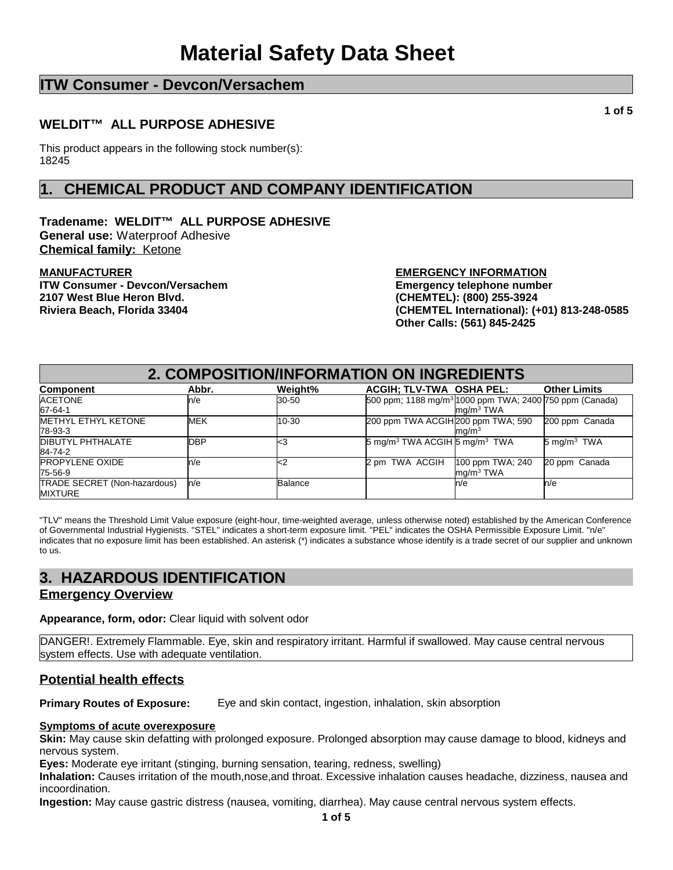# **ITW Consumer - Devcon/Versachem**

### **WELDIT™ ALL PURPOSE ADHESIVE**

This product appears in the following stock number(s): 18245

# **1. CHEMICAL PRODUCT AND COMPANY IDENTIFICATION**

**Tradename: WELDIT™ ALL PURPOSE ADHESIVE General use:** Waterproof Adhesive **Chemical family:** Ketone

**MANUFACTURER ITW Consumer - Devcon/Versachem 2107 West Blue Heron Blvd. Riviera Beach, Florida 33404**

**EMERGENCY INFORMATION Emergency telephone number (CHEMTEL): (800) 255-3924 (CHEMTEL International): (+01) 813-248-0585 Other Calls: (561) 845-2425**

| 2. COMPOSITION/INFORMATION ON INGREDIENTS             |            |                |                                                                      |                                                 |                        |
|-------------------------------------------------------|------------|----------------|----------------------------------------------------------------------|-------------------------------------------------|------------------------|
| <b>Component</b>                                      | Abbr.      | Weight%        | ACGIH; TLV-TWA OSHA PEL:                                             |                                                 | <b>Other Limits</b>    |
| <b>ACETONE</b><br>67-64-1                             | n/e        | 30-50          | 500 ppm; 1188 mg/m <sup>3</sup>  1000 ppm TWA; 2400 750 ppm (Canada) | ma/m <sup>3</sup> TWA                           |                        |
| <b>METHYL ETHYL KETONE</b><br>78-93-3                 | <b>MEK</b> | 10-30          | 200 ppm TWA ACGIH 200 ppm TWA; 590                                   | mq/m <sup>3</sup>                               | 200 ppm Canada         |
| <b>DIBUTYL PHTHALATE</b><br>84-74-2                   | <b>DBP</b> | <3             | 5 mg/m <sup>3</sup> TWA ACGIH 5 mg/m <sup>3</sup> TWA                |                                                 | $5 \text{ mg/m}^3$ TWA |
| <b>PROPYLENE OXIDE</b><br>75-56-9                     | n/e        | $<$ 2          | TWA ACGIH<br>2 pm                                                    | 100 ppm TWA; 240<br>$\text{Im}q/\text{m}^3$ TWA | 20 ppm Canada          |
| <b>TRADE SECRET (Non-hazardous)</b><br><b>MIXTURE</b> | ln/e       | <b>Balance</b> |                                                                      | n/e                                             | n/e                    |

"TLV" means the Threshold Limit Value exposure (eight-hour, time-weighted average, unless otherwise noted) established by the American Conference of Governmental Industrial Hygienists. "STEL" indicates a short-term exposure limit. "PEL" indicates the OSHA Permissible Exposure Limit. "n/e" indicates that no exposure limit has been established. An asterisk (\*) indicates a substance whose identify is a trade secret of our supplier and unknown to us.

# **3. HAZARDOUS IDENTIFICATION**

### **Emergency Overview**

**Appearance, form, odor:** Clear liquid with solvent odor

DANGER!. Extremely Flammable. Eye, skin and respiratory irritant. Harmful if swallowed. May cause central nervous system effects. Use with adequate ventilation.

## **Potential health effects**

**Primary Routes of Exposure:** Eye and skin contact, ingestion, inhalation, skin absorption

### **Symptoms of acute overexposure**

**Skin:** May cause skin defatting with prolonged exposure. Prolonged absorption may cause damage to blood, kidneys and nervous system.

**Eyes:** Moderate eye irritant (stinging, burning sensation, tearing, redness, swelling)

**Inhalation:** Causes irritation of the mouth,nose,and throat. Excessive inhalation causes headache, dizziness, nausea and incoordination.

**Ingestion:** May cause gastric distress (nausea, vomiting, diarrhea). May cause central nervous system effects.

**1 of 5**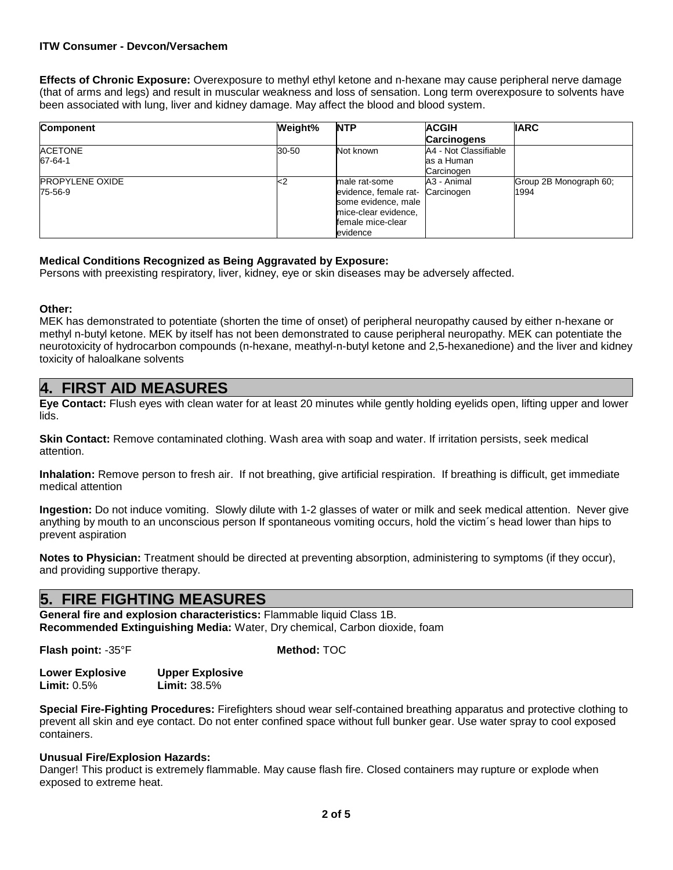### **ITW Consumer - Devcon/Versachem**

**Effects of Chronic Exposure:** Overexposure to methyl ethyl ketone and n-hexane may cause peripheral nerve damage (that of arms and legs) and result in muscular weakness and loss of sensation. Long term overexposure to solvents have been associated with lung, liver and kidney damage. May affect the blood and blood system.

| <b>Component</b>       | Weight% | <b>NTP</b>            | <b>ACGIH</b>          | <b>IARC</b>            |
|------------------------|---------|-----------------------|-----------------------|------------------------|
|                        |         |                       | <b>Carcinogens</b>    |                        |
| <b>ACETONE</b>         | 30-50   | Not known             | A4 - Not Classifiable |                        |
| 67-64-1                |         |                       | las a Human           |                        |
|                        |         |                       | Carcinogen            |                        |
| <b>PROPYLENE OXIDE</b> | k-2     | male rat-some         | A3 - Animal           | Group 2B Monograph 60; |
| 75-56-9                |         | evidence, female rat- | Carcinogen            | 1994                   |
|                        |         | some evidence, male   |                       |                        |
|                        |         | mice-clear evidence,  |                       |                        |
|                        |         | female mice-clear     |                       |                        |
|                        |         | evidence              |                       |                        |

### **Medical Conditions Recognized as Being Aggravated by Exposure:**

Persons with preexisting respiratory, liver, kidney, eye or skin diseases may be adversely affected.

#### **Other:**

MEK has demonstrated to potentiate (shorten the time of onset) of peripheral neuropathy caused by either n-hexane or methyl n-butyl ketone. MEK by itself has not been demonstrated to cause peripheral neuropathy. MEK can potentiate the neurotoxicity of hydrocarbon compounds (n-hexane, meathyl-n-butyl ketone and 2,5-hexanedione) and the liver and kidney toxicity of haloalkane solvents

## **4. FIRST AID MEASURES**

**Eye Contact:** Flush eyes with clean water for at least 20 minutes while gently holding eyelids open, lifting upper and lower lids.

**Skin Contact:** Remove contaminated clothing. Wash area with soap and water. If irritation persists, seek medical attention.

**Inhalation:** Remove person to fresh air. If not breathing, give artificial respiration. If breathing is difficult, get immediate medical attention

**Ingestion:** Do not induce vomiting. Slowly dilute with 1-2 glasses of water or milk and seek medical attention. Never give anything by mouth to an unconscious person If spontaneous vomiting occurs, hold the victim´s head lower than hips to prevent aspiration

**Notes to Physician:** Treatment should be directed at preventing absorption, administering to symptoms (if they occur), and providing supportive therapy.

## **5. FIRE FIGHTING MEASURES**

**General fire and explosion characteristics:** Flammable liquid Class 1B. **Recommended Extinguishing Media:** Water, Dry chemical, Carbon dioxide, foam

**Flash point:** -35°F

**Method:** TOC

**Lower Explosive Limit:** 0.5% **Upper Explosive Limit:** 38.5%

**Special Fire-Fighting Procedures:** Firefighters shoud wear self-contained breathing apparatus and protective clothing to prevent all skin and eye contact. Do not enter confined space without full bunker gear. Use water spray to cool exposed containers.

### **Unusual Fire/Explosion Hazards:**

Danger! This product is extremely flammable. May cause flash fire. Closed containers may rupture or explode when exposed to extreme heat.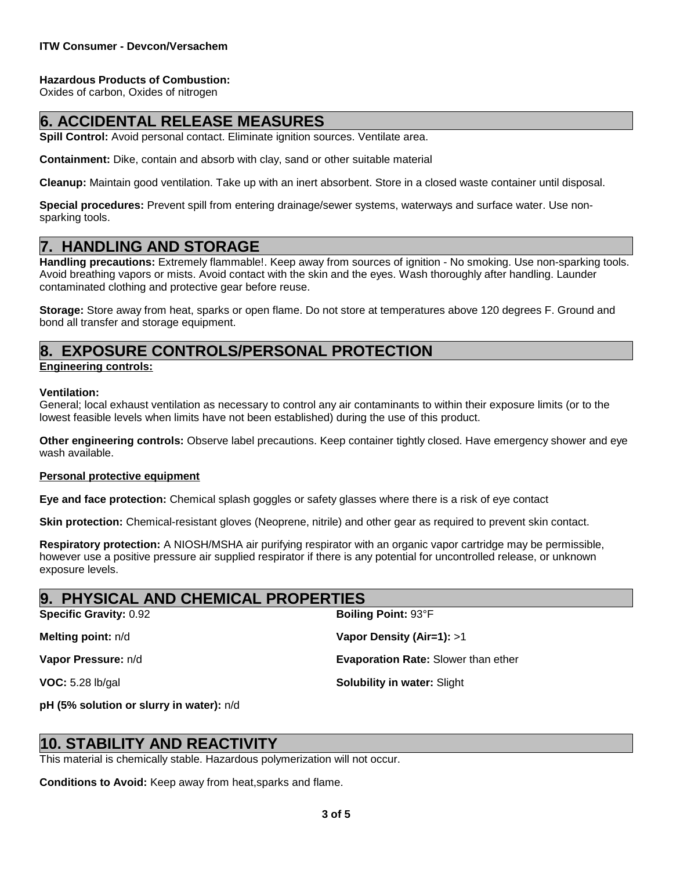### **Hazardous Products of Combustion:**

Oxides of carbon, Oxides of nitrogen

# **6. ACCIDENTAL RELEASE MEASURES**

**Spill Control:** Avoid personal contact. Eliminate ignition sources. Ventilate area.

**Containment:** Dike, contain and absorb with clay, sand or other suitable material

**Cleanup:** Maintain good ventilation. Take up with an inert absorbent. Store in a closed waste container until disposal.

**Special procedures:** Prevent spill from entering drainage/sewer systems, waterways and surface water. Use nonsparking tools.

## **7. HANDLING AND STORAGE**

**Handling precautions:** Extremely flammable!. Keep away from sources of ignition - No smoking. Use non-sparking tools. Avoid breathing vapors or mists. Avoid contact with the skin and the eyes. Wash thoroughly after handling. Launder contaminated clothing and protective gear before reuse.

**Storage:** Store away from heat, sparks or open flame. Do not store at temperatures above 120 degrees F. Ground and bond all transfer and storage equipment.

# **8. EXPOSURE CONTROLS/PERSONAL PROTECTION**

### **Engineering controls:**

### **Ventilation:**

General; local exhaust ventilation as necessary to control any air contaminants to within their exposure limits (or to the lowest feasible levels when limits have not been established) during the use of this product.

**Other engineering controls:** Observe label precautions. Keep container tightly closed. Have emergency shower and eye wash available.

### **Personal protective equipment**

**Eye and face protection:** Chemical splash goggles or safety glasses where there is a risk of eye contact

**Skin protection:** Chemical-resistant gloves (Neoprene, nitrile) and other gear as required to prevent skin contact.

**Respiratory protection:** A NIOSH/MSHA air purifying respirator with an organic vapor cartridge may be permissible, however use a positive pressure air supplied respirator if there is any potential for uncontrolled release, or unknown exposure levels.

### **9. PHYSICAL AND CHEMICAL PROPERTIES**

| <b>Boiling Point: 93°F</b>                 |
|--------------------------------------------|
| Vapor Density (Air=1): $>1$                |
| <b>Evaporation Rate: Slower than ether</b> |
| <b>Solubility in water: Slight</b>         |
|                                            |

**pH (5% solution or slurry in water):** n/d

## **STABILITY AND REACTIV**

This material is chemically stable. Hazardous polymerization will not occur.

**Conditions to Avoid:** Keep away from heat,sparks and flame.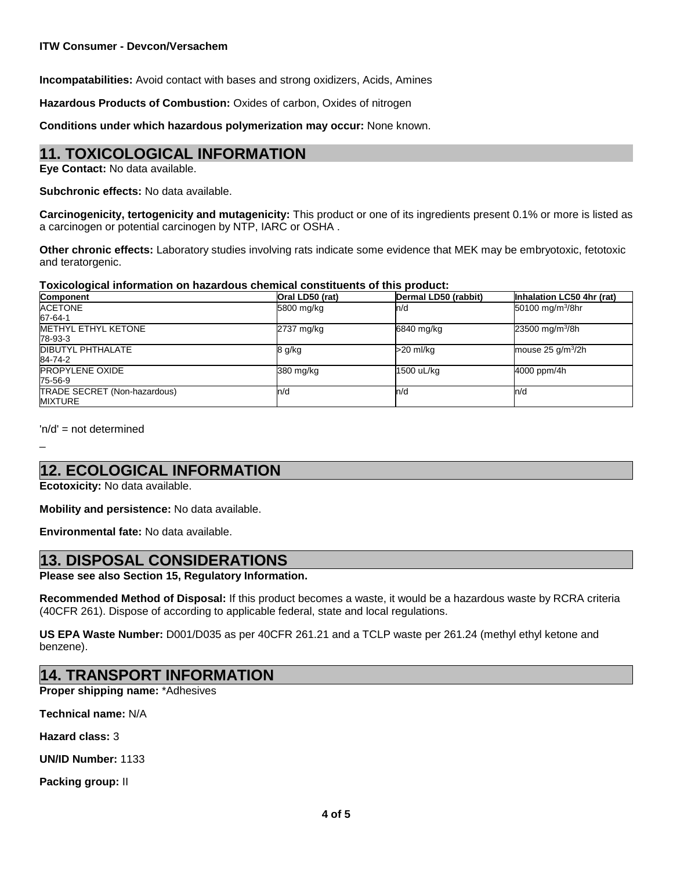**Incompatabilities:** Avoid contact with bases and strong oxidizers, Acids, Amines

**Hazardous Products of Combustion:** Oxides of carbon, Oxides of nitrogen

**Conditions under which hazardous polymerization may occur:** None known.

# **11. TOXICOLOGICAL INFORMATION**

**Eye Contact:** No data available.

**Subchronic effects:** No data available.

**Carcinogenicity, tertogenicity and mutagenicity:** This product or one of its ingredients present 0.1% or more is listed as a carcinogen or potential carcinogen by NTP, IARC or OSHA .

**Other chronic effects:** Laboratory studies involving rats indicate some evidence that MEK may be embryotoxic, fetotoxic and teratorgenic.

### **Toxicological information on hazardous chemical constituents of this product:**

| <b>Component</b>             | Oral LD50 (rat) | Dermal LD50 (rabbit) | Inhalation LC50 4hr (rat)    |
|------------------------------|-----------------|----------------------|------------------------------|
| <b>ACETONE</b>               | 5800 mg/kg      | n/d                  | 50100 mg/m <sup>3</sup> /8hr |
| 67-64-1                      |                 |                      |                              |
| <b>METHYL ETHYL KETONE</b>   | 2737 mg/kg      | 6840 mg/kg           | 23500 mg/m <sup>3</sup> /8h  |
| 78-93-3                      |                 |                      |                              |
| <b>DIBUTYL PHTHALATE</b>     | 8 g/kg          | >20 ml/ka            | mouse $25$ g/m $^{3}/2h$     |
| 84-74-2                      |                 |                      |                              |
| <b>PROPYLENE OXIDE</b>       | 380 mg/kg       | 1500 uL/kg           | 4000 ppm/4h                  |
| 75-56-9                      |                 |                      |                              |
| TRADE SECRET (Non-hazardous) | ln/d            | n/d                  | ln/d                         |
| <b>MIXTURE</b>               |                 |                      |                              |

'n/d' = not determined

\_

# **12. ECOLOGICAL INFORMATION**

**Ecotoxicity:** No data available.

**Mobility and persistence:** No data available.

**Environmental fate:** No data available.

## **13. DISPOSAL CONSIDERATIONS**

**Please see also Section 15, Regulatory Information.**

**Recommended Method of Disposal:** If this product becomes a waste, it would be a hazardous waste by RCRA criteria (40CFR 261). Dispose of according to applicable federal, state and local regulations.

**US EPA Waste Number:** D001/D035 as per 40CFR 261.21 and a TCLP waste per 261.24 (methyl ethyl ketone and benzene).

# **14. TRANSPORT INFORMATION**

**Proper shipping name:** \*Adhesives

**Technical name:** N/A

**Hazard class:** 3

**UN/ID Number:** 1133

**Packing group:** II